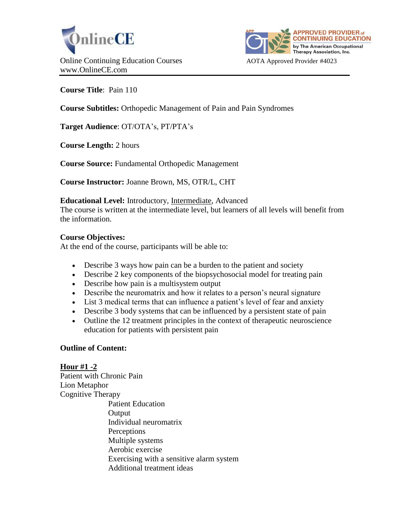



**Course Title**: Pain 110

**Course Subtitles:** Orthopedic Management of Pain and Pain Syndromes

**Target Audience**: OT/OTA's, PT/PTA's

**Course Length:** 2 hours

**Course Source:** Fundamental Orthopedic Management

**Course Instructor:** Joanne Brown, MS, OTR/L, CHT

### **Educational Level:** Introductory, Intermediate, Advanced

The course is written at the intermediate level, but learners of all levels will benefit from the information.

### **Course Objectives:**

At the end of the course, participants will be able to:

- Describe 3 ways how pain can be a burden to the patient and society
- Describe 2 key components of the biopsychosocial model for treating pain
- Describe how pain is a multisystem output
- Describe the neuromatrix and how it relates to a person's neural signature
- List 3 medical terms that can influence a patient's level of fear and anxiety
- Describe 3 body systems that can be influenced by a persistent state of pain
- Outline the 12 treatment principles in the context of therapeutic neuroscience education for patients with persistent pain

### **Outline of Content:**

# **Hour #1 -2**

Patient with Chronic Pain Lion Metaphor Cognitive Therapy Patient Education **Output** Individual neuromatrix **Perceptions** Multiple systems Aerobic exercise Exercising with a sensitive alarm system Additional treatment ideas